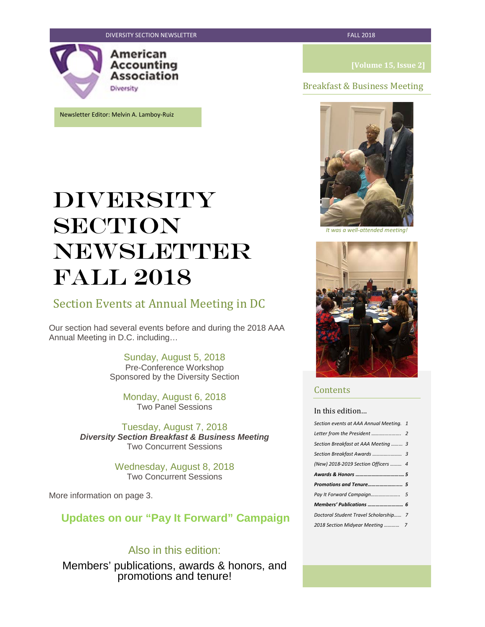

Newsletter Editor: Melvin A. Lamboy-Ruiz

### Breakfast & Business Meeting



*It was a well-attended meeting!*



# Section Events at Annual Meeting in DC

Our section had several events before and during the 2018 AAA Annual Meeting in D.C. including…

> Sunday, August 5, 2018 Pre-Conference Workshop Sponsored by the Diversity Section

Monday, August 6, 2018 Two Panel Sessions

Tuesday, August 7, 2018 *Diversity Section Breakfast & Business Meeting* Two Concurrent Sessions

> Wednesday, August 8, 2018 Two Concurrent Sessions

More information on page 3.

**Updates on our "Pay It Forward" Campaign**

# Also in this edition:

Members' publications, awards & honors, and promotions and tenure!



### **Contents**

### In this edition…

| Section events at AAA Annual Meeting. 1 |   |
|-----------------------------------------|---|
|                                         |   |
| Section Breakfast at AAA Meeting  3     |   |
|                                         |   |
| (New) 2018-2019 Section Officers  4     |   |
|                                         |   |
|                                         |   |
|                                         |   |
|                                         |   |
|                                         |   |
| Doctoral Student Travel Scholarship     | 7 |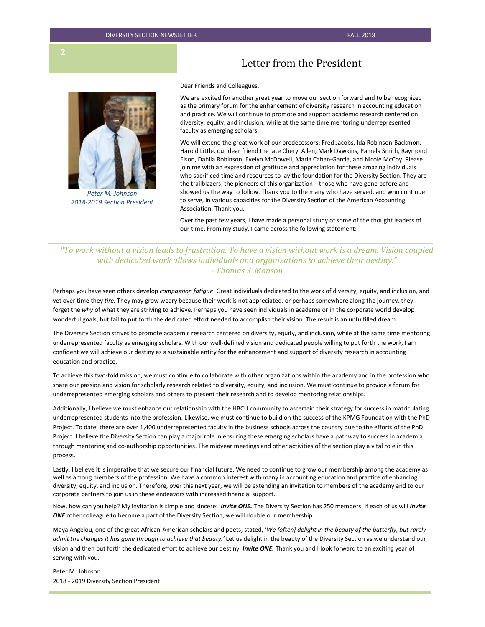

*Peter M. Johnson 2018-2019 Section President*

# Letter from the President

Dear Friends and Colleagues,

We are excited for another great year to move our section forward and to be recognized as the primary forum for the enhancement of diversity research in accounting education and practice. We will continue to promote and support academic research centered on diversity, equity, and inclusion, while at the same time mentoring underrepresented faculty as emerging scholars.

We will extend the great work of our predecessors: Fred Jacobs, Ida Robinson-Backmon, Harold Little, our dear friend the late Cheryl Allen, Mark Dawkins, Pamela Smith, Raymond Elson, Dahlia Robinson, Evelyn McDowell, Maria Caban-Garcia, and Nicole McCoy. Please join me with an expression of gratitude and appreciation for these amazing individuals who sacrificed time and resources to lay the foundation for the Diversity Section. They are the trailblazers, the pioneers of this organization—those who have gone before and showed us the way to follow. Thank you to the many who have served, and who continue to serve, in various capacities for the Diversity Section of the American Accounting Association. Thank you.

Over the past few years, I have made a personal study of some of the thought leaders of our time. From my study, I came across the following statement:

*"To work without a vision leads to frustration. To have a vision without work is a dream. Vision coupled with dedicated work allows individuals and organizations to achieve their destiny." - Thomas S. Monson*

Perhaps you have seen others develop *compassion fatigue*. Great individuals dedicated to the work of diversity, equity, and inclusion, and yet over time they *tire.* They may grow weary because their work is not appreciated, or perhaps somewhere along the journey, they forget the *why* of what they are striving to achieve. Perhaps you have seen individuals in academe or in the corporate world develop wonderful goals, but fail to put forth the dedicated effort needed to accomplish their vision. The result is an unfulfilled dream.

The Diversity Section strives to promote academic research centered on diversity, equity, and inclusion, while at the same time mentoring underrepresented faculty as emerging scholars. With our well-defined vision and dedicated people willing to put forth the work, I am confident we will achieve our destiny as a sustainable entity for the enhancement and support of diversity research in accounting education and practice.

To achieve this two-fold mission, we must continue to collaborate with other organizations within the academy and in the profession who share our passion and vision for scholarly research related to diversity, equity, and inclusion. We must continue to provide a forum for underrepresented emerging scholars and others to present their research and to develop mentoring relationships.

Additionally, I believe we must enhance our relationship with the HBCU community to ascertain their strategy for success in matriculating underrepresented students into the profession. Likewise, we must continue to build on the success of the KPMG Foundation with the PhD Project. To date, there are over 1,400 underrepresented faculty in the business schools across the country due to the efforts of the PhD Project. I believe the Diversity Section can play a major role in ensuring these emerging scholars have a pathway to success in academia through mentoring and co-authorship opportunities. The midyear meetings and other activities of the section play a vital role in this process.

Lastly, I believe it is imperative that we secure our financial future. We need to continue to grow our membership among the academy as well as among members of the profession. We have a common interest with many in accounting education and practice of enhancing diversity, equity, and inclusion. Therefore, over this next year, we will be extending an invitation to members of the academy and to our corporate partners to join us in these endeavors with increased financial support.

Now, how can you help? My invitation is simple and sincere: *Invite ONE.* The Diversity Section has 250 members. If each of us will *Invite ONE* other colleague to become a part of the Diversity Section, we will double our membership.

Maya Angelou, one of the great African-American scholars and poets, stated, '*We {often} delight in the beauty of the butterfly, but rarely admit the changes it has gone through to achieve that beauty.'* Let us delight in the beauty of the Diversity Section as we understand our vision and then put forth the dedicated effort to achieve our destiny. *Invite ONE.* Thank you and I look forward to an exciting year of serving with you.

Peter M. Johnson 2018 - 2019 Diversity Section President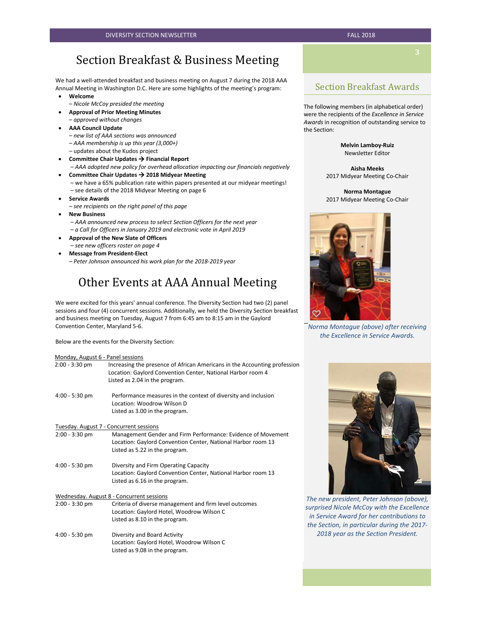# Section Breakfast & Business Meeting

We had a well-attended breakfast and business meeting on August 7 during the 2018 AAA Annual Meeting in Washington D.C. Here are some highlights of the meeting's program:

- **Welcome**
- *Nicole McCoy presided the meeting*
- **Approval of Prior Meeting Minutes**
- *approved without changes*
- **AAA Council Update** 
	- *new list of AAA sections was announced*
	- *AAA membership is up this year (3,000+)*
	- updates about the Kudos project
- **•** Committee Chair Updates → Financial Report – *AAA adopted new policy for overhead allocation impacting our financials negatively*
- **Committee Chair Updates 2018 Midyear Meeting** 
	- we have a 65% publication rate within papers presented at our midyear meetings! – see details of the 2018 Midyear Meeting on page 6
- **Service Awards** 
	- *– see recipients on the right panel of this page*
- **New Business** 
	- *AAA announced new process to select Section Officers for the next year* – *a Call for Officers in January 2019 and electronic vote in April 2019*
- **Approval of the New Slate of Officers**
- *see new officers roster on page 4* • **Message from President-Elect** 
	- *Peter Johnson announced his work plan for the 2018-2019 year*

# Other Events at AAA Annual Meeting

We were excited for this years' annual conference. The Diversity Section had two (2) panel sessions and four (4) concurrent sessions. Additionally, we held the Diversity Section breakfast and business meeting on Tuesday, August 7 from 6:45 am to 8:15 am in the Gaylord Convention Center, Maryland 5-6.

Below are the events for the Diversity Section:

| Monday, August 6 - Panel sessions |                                                                                                                                                                            |
|-----------------------------------|----------------------------------------------------------------------------------------------------------------------------------------------------------------------------|
| $2:00 - 3:30$ pm                  | Increasing the presence of African Americans in the Accounting profession<br>Location: Gaylord Convention Center, National Harbor room 4<br>Listed as 2.04 in the program. |
| $4:00 - 5:30$ pm                  | Performance measures in the context of diversity and inclusion<br>Location: Woodrow Wilson D<br>Listed as 3.00 in the program.                                             |
|                                   | Tuesday. August 7 - Concurrent sessions                                                                                                                                    |
| $2:00 - 3:30$ pm                  | Management Gender and Firm Performance: Evidence of Movement<br>Location: Gaylord Convention Center, National Harbor room 13<br>Listed as 5.22 in the program.             |
| 4:00 - 5:30 pm                    | Diversity and Firm Operating Capacity<br>Location: Gaylord Convention Center, National Harbor room 13<br>Listed as 6.16 in the program.                                    |
|                                   | Wednesday. August 8 - Concurrent sessions                                                                                                                                  |
| $2:00 - 3:30$ pm                  | Criteria of diverse management and firm level outcomes<br>Location: Gaylord Hotel, Woodrow Wilson C<br>Listed as 8.10 in the program.                                      |
| 4:00 - 5:30 pm                    | Diversity and Board Activity<br>Location: Gaylord Hotel, Woodrow Wilson C                                                                                                  |

Listed as 9.08 in the program.

### Section Breakfast Awards

The following members (in alphabetical order) were the recipients of the *Excellence in Service Awards* in recognition of outstanding service to the Section:

> **Melvin Lamboy-Ruiz** Newsletter Editor

**Aisha Meeks** 2017 Midyear Meeting Co-Chair

**Norma Montague** 2017 Midyear Meeting Co-Chair



*Norma Montague (above) after receiving the Excellence in Service Awards.*



*The new president, Peter Johnson (above), surprised Nicole McCoy with the Excellence in Service Award for her contributions to the Section, in particular during the 2017- 2018 year as the Section President.*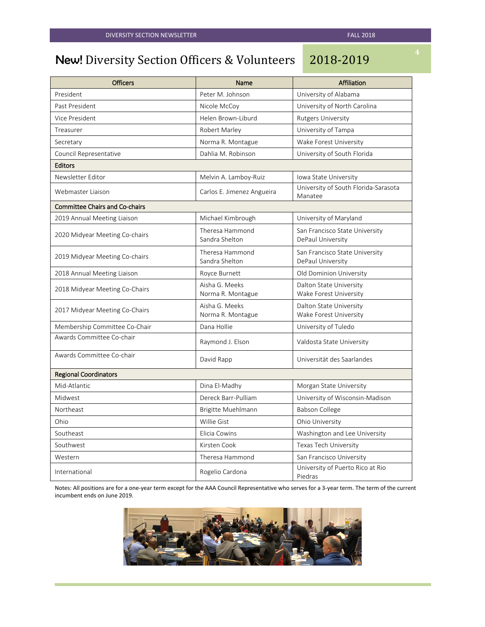# New! Diversity Section Officers & Volunteers 2018-2019

| <b>Officers</b>                       | Name                                | <b>Affiliation</b>                                  |  |  |
|---------------------------------------|-------------------------------------|-----------------------------------------------------|--|--|
| President                             | Peter M. Johnson                    | University of Alabama                               |  |  |
| Past President                        | Nicole McCoy                        | University of North Carolina                        |  |  |
| Vice President                        | Helen Brown-Liburd                  | <b>Rutgers University</b>                           |  |  |
| Treasurer                             | Robert Marley                       | University of Tampa                                 |  |  |
| Secretary                             | Norma R. Montague                   | Wake Forest University                              |  |  |
| Council Representative                | Dahlia M. Robinson                  | University of South Florida                         |  |  |
| <b>Editors</b>                        |                                     |                                                     |  |  |
| Newsletter Editor                     | Melvin A. Lamboy-Ruiz               | Iowa State University                               |  |  |
| Webmaster Liaison                     | Carlos E. Jimenez Angueira          | University of South Florida-Sarasota<br>Manatee     |  |  |
| <b>Committee Chairs and Co-chairs</b> |                                     |                                                     |  |  |
| 2019 Annual Meeting Liaison           | Michael Kimbrough                   | University of Maryland                              |  |  |
| 2020 Midyear Meeting Co-chairs        | Theresa Hammond<br>Sandra Shelton   | San Francisco State University<br>DePaul University |  |  |
| 2019 Midyear Meeting Co-chairs        | Theresa Hammond<br>Sandra Shelton   | San Francisco State University<br>DePaul University |  |  |
| 2018 Annual Meeting Liaison           | Royce Burnett                       | Old Dominion University                             |  |  |
| 2018 Midyear Meeting Co-Chairs        | Aisha G. Meeks<br>Norma R. Montague | Dalton State University<br>Wake Forest University   |  |  |
| 2017 Midyear Meeting Co-Chairs        | Aisha G. Meeks<br>Norma R. Montague | Dalton State University<br>Wake Forest University   |  |  |
| Membership Committee Co-Chair         | Dana Hollie                         | University of Tuledo                                |  |  |
| Awards Committee Co-chair             | Raymond J. Elson                    | Valdosta State University                           |  |  |
| Awards Committee Co-chair             | David Rapp                          | Universität des Saarlandes                          |  |  |
| <b>Regional Coordinators</b>          |                                     |                                                     |  |  |
| Mid-Atlantic                          | Dina El-Madhy                       | Morgan State University                             |  |  |
| Midwest                               | Dereck Barr-Pulliam                 | University of Wisconsin-Madison                     |  |  |
| Northeast                             | Brigitte Muehlmann                  | Babson College                                      |  |  |
| Ohio                                  | Willie Gist                         | Ohio University                                     |  |  |
| Southeast                             | Elicia Cowins                       | Washington and Lee University                       |  |  |
| Southwest                             | Kirsten Cook                        | Texas Tech University                               |  |  |
| Western                               | Theresa Hammond                     | San Francisco University                            |  |  |
| International                         | Rogelio Cardona                     | University of Puerto Rico at Rio<br>Piedras         |  |  |

Notes: All positions are for a one-year term except for the AAA Council Representative who serves for a 3-year term. The term of the current incumbent ends on June 2019.

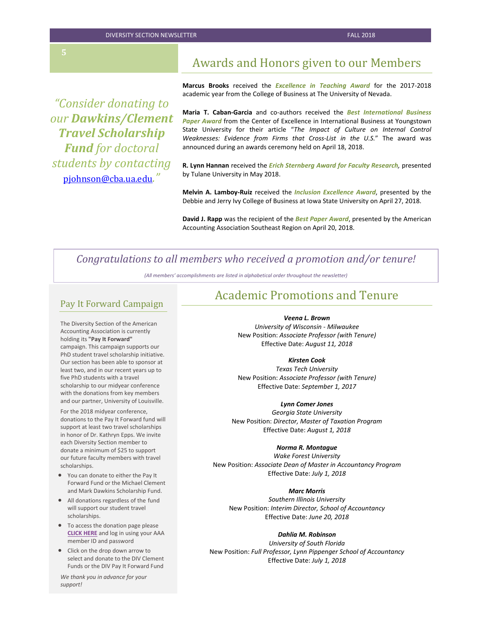DIVERSITY SECTION NEWSLETTER FALL 2018

# Awards and Honors given to our Members

*"Consider donating to our Dawkins/Clement Travel Scholarship Fund for doctoral students by contacting*  [pjohnson@cba.ua.edu](mailto:pjohnson@cba.ua.edu)*."*

**Marcus Brooks** received the *Excellence in Teaching Award* for the 2017-2018 academic year from the College of Business at The University of Nevada.

**Maria T. Caban-Garcia** and co-authors received the *Best International Business Paper Award* from the Center of Excellence in International Business at Youngstown State University for their article "*The Impact of Culture on Internal Control Weaknesses: Evidence from Firms that Cross-List in the U.S.*" The award was announced during an awards ceremony held on April 18, 2018.

**R. Lynn Hannan** received the *Erich Sternberg Award for Faculty Research,* presented by Tulane University in May 2018.

**Melvin A. Lamboy-Ruiz** received the *Inclusion Excellence Award*, presented by the Debbie and Jerry Ivy College of Business at Iowa State University on April 27, 2018.

**David J. Rapp** was the recipient of the *Best Paper Award*, presented by the American Accounting Association Southeast Region on April 20, 2018.

### *Congratulations to all members who received a promotion and/or tenure!*

*(All members' accomplishments are listed in alphabetical order throughout the newsletter)*

### Pay It Forward Campaign

The Diversity Section of the American Accounting Association is currently holding its **"Pay It Forward"**  campaign. This campaign supports our PhD student travel scholarship initiative. Our section has been able to sponsor at least two, and in our recent years up to five PhD students with a travel scholarship to our midyear conference with the donations from key members and our partner, University of Louisville.

For the 2018 midyear conference, donations to the Pay It Forward fund will support at least two travel scholarships in honor of Dr. Kathryn Epps. We invite each Diversity Section member to donate a minimum of \$25 to support our future faculty members with travel scholarships.

- You can donate to either the Pay It Forward Fund or the Michael Clement and Mark Dawkins Scholarship Fund.
- All donations regardless of the fund will support our student travel scholarships.
- To access the donation page please **[CLICK HERE](http://r20.rs6.net/tn.jsp?f=001DCrYbyDCHaqmfLIbCuPh-FdCtFCt6cEu2jBqY-LURWuS5r_2YCJpZajZoI9AYoXrQt3ADYzQFf-YTpFB9r2sWdUPkiVsIaKDTD702O0jTbOz88uahEpPrg4C5dPRy_u41rnLDyY_F_1mRz1boEEQTvSUs1HFe9nHOb20ZBcIvFmIcVqNAWLi-C0nYzp_SNX_&c=FhyN_GUDhN25lR7Gg__SE8FhojQrwBlTJRdthOqeGGt0JcBhM-YIDg==&ch=hgH_O0n65CLRfIfcrKWd1ypjOWh92v_3YGQBSKQali6-QZliY-fs_g==)** and log in using your AAA member ID and password
- Click on the drop down arrow to select and donate to the DIV Clement Funds or the DIV Pay It Forward Fund

*We thank you in advance for your support!*

# Academic Promotions and Tenure

*Veena L. Brown University of Wisconsin - Milwaukee* New Position: *Associate Professor (with Tenure)* Effective Date: *August 11, 2018*

#### *Kirsten Cook*

*Texas Tech University* New Position: *Associate Professor (with Tenure)* Effective Date: *September 1, 2017*

### *Lynn Comer Jones*

*Georgia State University* New Position: *Director, Master of Taxation Program* Effective Date: *August 1, 2018*

#### *Norma R. Montague*

*Wake Forest University* New Position: *Associate Dean of Master in Accountancy Program* Effective Date: *July 1, 2018*

### *Marc Morris*

*Southern Illinois University* New Position: *Interim Director, School of Accountancy* Effective Date: *June 20, 2018*

#### *Dahlia M. Robinson*

*University of South Florida* New Position: *Full Professor, Lynn Pippenger School of Accountancy* Effective Date: *July 1, 2018*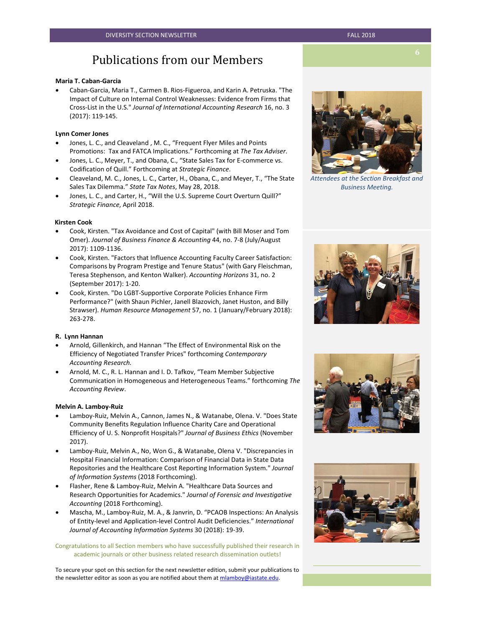# Publications from our Members

#### **Maria T. Caban-Garcia**

• Caban-Garcia, Maria T., Carmen B. Rios-Figueroa, and Karin A. Petruska. "The Impact of Culture on Internal Control Weaknesses: Evidence from Firms that Cross-List in the U.S." *Journal of International Accounting Research* 16, no. 3 (2017): 119-145.

#### **Lynn Comer Jones**

- Jones, L. C., and Cleaveland , M. C., "Frequent Flyer Miles and Points Promotions: Tax and FATCA Implications." Forthcoming at *The Tax Adviser*.
- Jones, L. C., Meyer, T., and Obana, C., "State Sales Tax for E-commerce vs. Codification of Quill." Forthcoming at *Strategic Finance*.
- Cleaveland, M. C., Jones, L. C., Carter, H., Obana, C., and Meyer, T., "The State Sales Tax Dilemma." *State Tax Notes*, May 28, 2018.
- Jones, L. C., and Carter, H., "Will the U.S. Supreme Court Overturn Quill?" *Strategic Finance*, April 2018.

#### **Kirsten Cook**

- Cook, Kirsten. "Tax Avoidance and Cost of Capital" (with Bill Moser and Tom Omer). *Journal of Business Finance & Accounting* 44, no. 7-8 (July/August 2017): 1109-1136.
- Cook, Kirsten. "Factors that Influence Accounting Faculty Career Satisfaction: Comparisons by Program Prestige and Tenure Status" (with Gary Fleischman, Teresa Stephenson, and Kenton Walker). *Accounting Horizons* 31, no. 2 (September 2017): 1-20.
- Cook, Kirsten. "Do LGBT-Supportive Corporate Policies Enhance Firm Performance?" (with Shaun Pichler, Janell Blazovich, Janet Huston, and Billy Strawser). *Human Resource Management* 57, no. 1 (January/February 2018): 263-278.

#### **R. Lynn Hannan**

- Arnold, Gillenkirch, and Hannan "The Effect of Environmental Risk on the Efficiency of Negotiated Transfer Prices" forthcoming *Contemporary Accounting Research.*
- Arnold, M. C., R. L. Hannan and I. D. Tafkov, "Team Member Subjective Communication in Homogeneous and Heterogeneous Teams." forthcoming *The Accounting Review*.

#### **Melvin A. Lamboy-Ruiz**

- Lamboy-Ruiz, Melvin A., Cannon, James N., & Watanabe, Olena. V. "Does State Community Benefits Regulation Influence Charity Care and Operational Efficiency of U. S. Nonprofit Hospitals?" *Journal of Business Ethics* (November 2017).
- Lamboy-Ruiz, Melvin A., No, Won G., & Watanabe, Olena V. "Discrepancies in Hospital Financial Information: Comparison of Financial Data in State Data Repositories and the Healthcare Cost Reporting Information System." *Journal of Information Systems* (2018 Forthcoming).
- Flasher, Rene & Lamboy-Ruiz, Melvin A. "Healthcare Data Sources and Research Opportunities for Academics." *Journal of Forensic and Investigative Accounting* (2018 Forthcoming).
- Mascha, M., Lamboy-Ruiz, M. A., & Janvrin, D. "PCAOB Inspections: An Analysis of Entity-level and Application-level Control Audit Deficiencies." *International Journal of Accounting Information Systems* 30 (2018): 19-39.

Congratulations to all Section members who have successfully published their research in academic journals or other business related research dissemination outlets!

To secure your spot on this section for the next newsletter edition, submit your publications to the newsletter editor as soon as you are notified about them at mlamboy@iastate.edu.



*Attendees at the Section Breakfast and Business Meeting.*







**6**